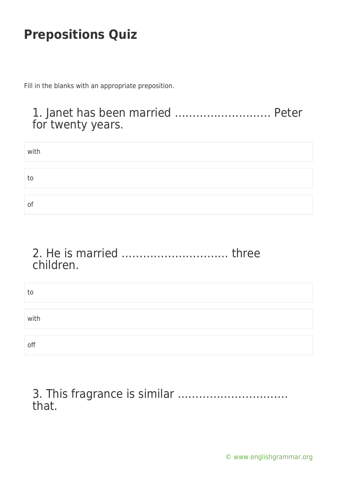Fill in the blanks with an appropriate preposition.

### 1. Janet has been married ……………………… Peter for twenty years.

| with |  |  |
|------|--|--|
|      |  |  |
| to   |  |  |
|      |  |  |
| Οt   |  |  |

#### 2. He is married ………………………… three children.

| to   |  |  |
|------|--|--|
|      |  |  |
| with |  |  |
|      |  |  |
| off  |  |  |

#### 3. This fragrance is similar …………………………. that.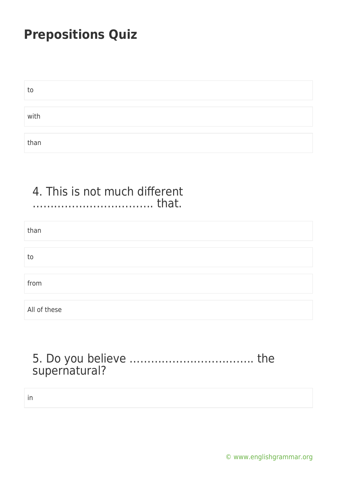| to   |  |  |  |
|------|--|--|--|
|      |  |  |  |
| with |  |  |  |
|      |  |  |  |
| than |  |  |  |

#### 4. This is not much different ……………………………. that.

| than         |  |
|--------------|--|
|              |  |
| to           |  |
|              |  |
| from         |  |
|              |  |
| All of these |  |

### 5. Do you believe …………………………….. the supernatural?

in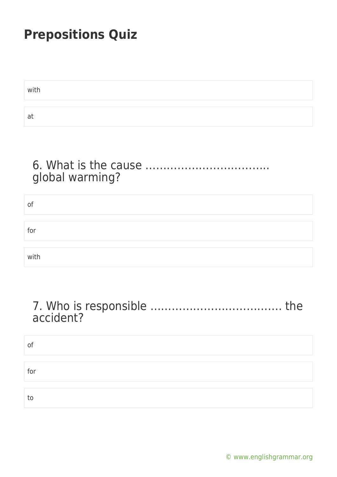| with |  |
|------|--|
|      |  |
| at   |  |

### 6. What is the cause …………………………….. global warming?

| of   |  |
|------|--|
|      |  |
| for  |  |
|      |  |
| with |  |

#### 7. Who is responsible ………………………………. the accident?

| of  |  |  |
|-----|--|--|
|     |  |  |
| for |  |  |
|     |  |  |
| to  |  |  |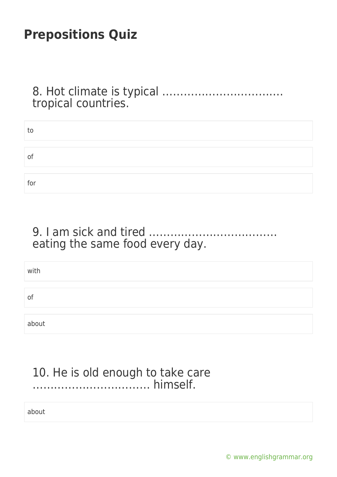8. Hot climate is typical ……………………………. tropical countries.

| to             |  |  |
|----------------|--|--|
|                |  |  |
| $\mathsf{O}^2$ |  |  |
|                |  |  |
| for            |  |  |

9. I am sick and tired ……………………………… eating the same food every day.

with of about

#### 10. He is old enough to take care …………………………… himself.

about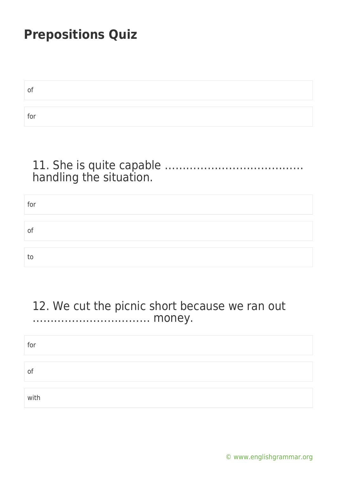| 01  |  |
|-----|--|
|     |  |
| for |  |

### 11. She is quite capable ………………………………… handling the situation.

| for |  |  |
|-----|--|--|
|     |  |  |
|     |  |  |
| of  |  |  |
|     |  |  |
|     |  |  |
| to  |  |  |

#### 12. We cut the picnic short because we ran out …………………………… money.

| for  |  |  |
|------|--|--|
| 01   |  |  |
|      |  |  |
| with |  |  |